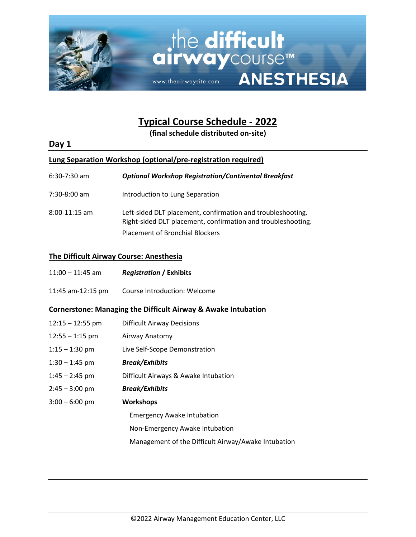

# **Typical Course Schedule - 2022**

**(final schedule distributed on-site)**

# **Day 1**

# **Lung Separation Workshop (optional/pre-registration required)**

6:30-7:30 am *Optional Workshop Registration/Continental Breakfast*

- 7:30-8:00 am Introduction to Lung Separation
- 8:00-11:15 am Left-sided DLT placement, confirmation and troubleshooting. Right-sided DLT placement, confirmation and troubleshooting. Placement of Bronchial Blockers

### **The Difficult Airway Course: Anesthesia**

| $11:00 - 11:45$ am | <b>Registration / Exhibits</b> |  |
|--------------------|--------------------------------|--|
|                    |                                |  |

11:45 am-12:15 pm Course Introduction: Welcome

### **Cornerstone: Managing the Difficult Airway & Awake Intubation**

| $12:15 - 12:55$ pm | <b>Difficult Airway Decisions</b>                   |
|--------------------|-----------------------------------------------------|
| $12:55 - 1:15$ pm  | Airway Anatomy                                      |
| $1:15 - 1:30$ pm   | Live Self-Scope Demonstration                       |
| $1:30 - 1:45$ pm   | <b>Break/Exhibits</b>                               |
| $1:45 - 2:45$ pm   | Difficult Airways & Awake Intubation                |
| $2:45 - 3:00$ pm   | <b>Break/Exhibits</b>                               |
| $3:00 - 6:00$ pm   | <b>Workshops</b>                                    |
|                    | <b>Emergency Awake Intubation</b>                   |
|                    | Non-Emergency Awake Intubation                      |
|                    | Management of the Difficult Airway/Awake Intubation |